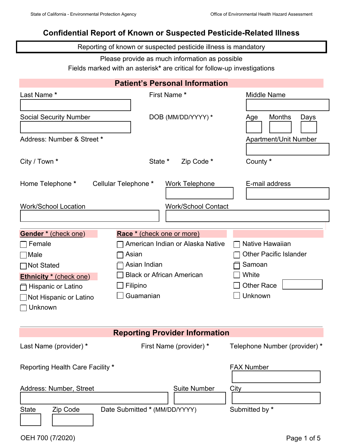## **Confidential Report of Known or Suspected Pesticide-Related Illness**

Reporting of known or suspected pesticide illness is mandatory

Please provide as much information as possible

Fields marked with an asterisk**\*** are critical for follow-up investigations

| <b>Patient's Personal Information</b>   |                                               |                               |  |  |
|-----------------------------------------|-----------------------------------------------|-------------------------------|--|--|
| Last Name *                             | First Name *                                  | <b>Middle Name</b>            |  |  |
|                                         |                                               |                               |  |  |
| <b>Social Security Number</b>           | DOB (MM/DD/YYYY) *                            | <b>Months</b><br>Days<br>Age  |  |  |
| Address: Number & Street *              |                                               | <b>Apartment/Unit Number</b>  |  |  |
| City / Town *                           | State *<br>Zip Code *                         | County *                      |  |  |
| Home Telephone *                        | Cellular Telephone *<br><b>Work Telephone</b> | E-mail address                |  |  |
| <b>Work/School Location</b>             | <b>Work/School Contact</b>                    |                               |  |  |
|                                         |                                               |                               |  |  |
|                                         |                                               |                               |  |  |
| <b>Gender</b> * (check one)             | Race * (check one or more)                    |                               |  |  |
| Female                                  | American Indian or Alaska Native              | Native Hawaiian               |  |  |
| ∃Male                                   | Asian                                         | <b>Other Pacific Islander</b> |  |  |
| ∏Not Stated                             | Asian Indian                                  | Samoan                        |  |  |
| <b>Ethnicity</b> * (check one)          | <b>Black or African American</b>              | White                         |  |  |
| ┌ Hispanic or Latino                    | Filipino                                      | <b>Other Race</b>             |  |  |
| $\Box$ Not Hispanic or Latino           | Guamanian                                     | Unknown                       |  |  |
| Unknown                                 |                                               |                               |  |  |
|                                         |                                               |                               |  |  |
|                                         |                                               |                               |  |  |
|                                         | <b>Reporting Provider Information</b>         |                               |  |  |
| Last Name (provider) *                  | First Name (provider) *                       | Telephone Number (provider) * |  |  |
| <b>Reporting Health Care Facility *</b> |                                               | <b>FAX Number</b>             |  |  |
| <b>Address: Number, Street</b>          | <b>Suite Number</b>                           | City                          |  |  |
|                                         |                                               |                               |  |  |
| <b>State</b><br>Zip Code                | Date Submitted * (MM/DD/YYYY)                 | Submitted by *                |  |  |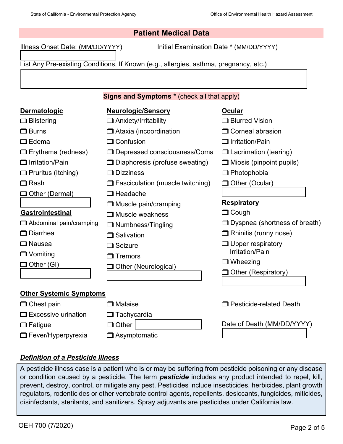Illness Onset Date: (MM/DD/YYYY) Initial Examination Date **\*** (MM/DD/YYYY)

List Any Pre-existing Conditions, If Known (e.g., allergies, asthma, pregnancy, etc.)

#### **Signs and Symptoms \*** (check all that apply)

| <b>Dermatologic</b>            | <b>Neurologic/Sensory</b>               | Ocular                          |
|--------------------------------|-----------------------------------------|---------------------------------|
| <b>□</b> Blistering            | □ Anxiety/Irritability                  | □ Blurred Vision                |
| $\Box$ Burns                   | □ Ataxia (incoordination                | Corneal abrasion                |
| $\square$ Edema                | <b>Confusion</b>                        | □ Irritation/Pain               |
| □ Erythema (redness)           | □ Depressed consciousness/Coma          | $\Box$ Lacrimation (tearing)    |
| □ Irritation/Pain              | □ Diaphoresis (profuse sweating)        | $\Box$ Miosis (pinpoint pupils) |
| <b>Pruritus (Itching)</b>      | $\Box$ Dizziness                        | <b>Photophobia</b>              |
| $\square$ Rash                 | $\Box$ Fasciculation (muscle twitching) | □ Other (Ocular)                |
| コ Other (Dermal)               | □ Headache                              |                                 |
|                                | □ Muscle pain/cramping                  | <b>Respiratory</b>              |
| <b>Gastrointestinal</b>        | □ Muscle weakness                       | $\Box$ Cough                    |
| Abdominal pain/cramping        | Numbness/Tingling                       | □ Dyspnea (shortness of breath) |
| □ Diarrhea                     | □ Salivation                            | Rhinitis (runny nose)           |
| □ Nausea                       | $\Box$ Seizure                          | $\Box$ Upper respiratory        |
| $\Box$ Vomiting                | □ Tremors                               | Irritation/Pain                 |
| □ Other (GI)                   | Other (Neurological)                    | $\Box$ Wheezing                 |
|                                |                                         | □ Other (Respiratory)           |
|                                |                                         |                                 |
| <b>Other Systemic Symptoms</b> |                                         |                                 |
| □ Chest pain                   | $\square$ Malaise                       | <b>Pesticide-related Death</b>  |
| □ Excessive urination          | $\Box$ Tachycardia                      |                                 |
| $\Box$ Fatigue                 | $\Box$ Other                            | Date of Death (MM/DD/YYYY)      |
| □ Fever/Hyperpyrexia           | <b>□</b> Asymptomatic                   |                                 |

### *Definition of a Pesticide Illness*

A pesticide illness case is a patient who is or may be suffering from pesticide poisoning or any disease or condition caused by a pesticide. The term *pesticide* includes any product intended to repel, kill, prevent, destroy, control, or mitigate any pest. Pesticides include insecticides, herbicides, plant growth regulators, rodenticides or other vertebrate control agents, repellents, desiccants, fungicides, miticides, disinfectants, sterilants, and sanitizers. Spray adjuvants are pesticides under California law.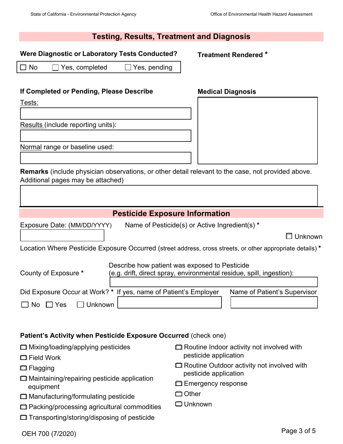#### **Testing, Results, Treatment and Diagnosis**

#### **Were Diagnostic or Laboratory Tests Conducted?**

#### **Treatment Rendered \***

**Medical Diagnosis**

☐ No ☐ Yes, completed ☐ Yes, pending

#### **If Completed or Pending, Please Describe**

Tests:

Results (include reporting units):

Normal range or baseline used:

**Remarks** (include physician observations, or other detail relevant to the case, not provided above. Additional pages may be attached)

## **Pesticide Exposure Information**

Exposure Date: (MM/DD/YYYY) Name of Pesticide(s) or Active Ingredient(s) **\***

☐ Unknown

Location Where Pesticide Exposure Occurred (street address, cross streets, or other appropriate details) **\***

|                                   | Describe how patient was exposed to Pesticide                        |                              |  |
|-----------------------------------|----------------------------------------------------------------------|------------------------------|--|
| County of Exposure *              | (e.g. drift, direct spray, environmental residue, spill, ingestion): |                              |  |
|                                   |                                                                      |                              |  |
|                                   | Did Exposure Occur at Work? * If yes, name of Patient's Employer     | Name of Patient's Supervisor |  |
| $\Box$ No $\Box$ Yes<br>  Unknown |                                                                      |                              |  |

#### **Patient's Activity when Pesticide Exposure Occurred** (check one)

|  |  | □ Mixing/loading/applying pesticides |
|--|--|--------------------------------------|
|  |  |                                      |

- ☐ Field Work
- ☐ Flagging
- ☐ Maintaining/repairing pesticide application equipment
- ☐ Manufacturing/formulating pesticide
- ☐ Packing/processing agricultural commodities
- ☐ Transporting/storing/disposing of pesticide
- **□ Routine Indoor activity not involved with** pesticide application
- ☐ Routine Outdoor activity not involved with pesticide application
- **□ Emergency response**
- ☐ Other
- ☐ Unknown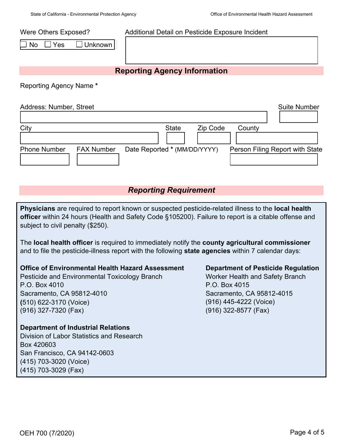Were Others Exposed?

No □ Yes □ Unknown

# **Reporting Agency Information**

Additional Detail on Pesticide Exposure Incident

Reporting Agency Name **\***

| Address: Number, Street |                   |                                    | <b>Suite Number</b>             |
|-------------------------|-------------------|------------------------------------|---------------------------------|
| City                    |                   | <b>State</b><br>Zip Code<br>County |                                 |
| <b>Phone Number</b>     | <b>FAX Number</b> | Date Reported * (MM/DD/YYYY)       | Person Filing Report with State |

## *Reporting Requirement*

**Physicians** are required to report known or suspected pesticide-related illness to the **local health officer** within 24 hours (Health and Safety Code §105200). Failure to report is a citable offense and subject to civil penalty (\$250).

The **local health officer** is required to immediately notify the **county agricultural commissioner**  and to file the pesticide-illness report with the following **state agencies** within 7 calendar days:

#### **Office of Environmental Health Hazard Assessment**

Pesticide and Environmental Toxicology Branch P.O. Box 4010 Sacramento, CA 95812-4010 **(**510) 622-3170 (Voice) (916) 327-7320 (Fax)

## **Department of Industrial Relations**

Division of Labor Statistics and Research Box 420603 San Francisco, CA 94142-0603 (415) 703-3020 (Voice) (415) 703-3029 (Fax)

**Department of Pesticide Regulation** 

Worker Health and Safety Branch P.O. Box 4015 Sacramento, CA 95812-4015 (916) 445-4222 (Voice) (916) 322-8577 (Fax)